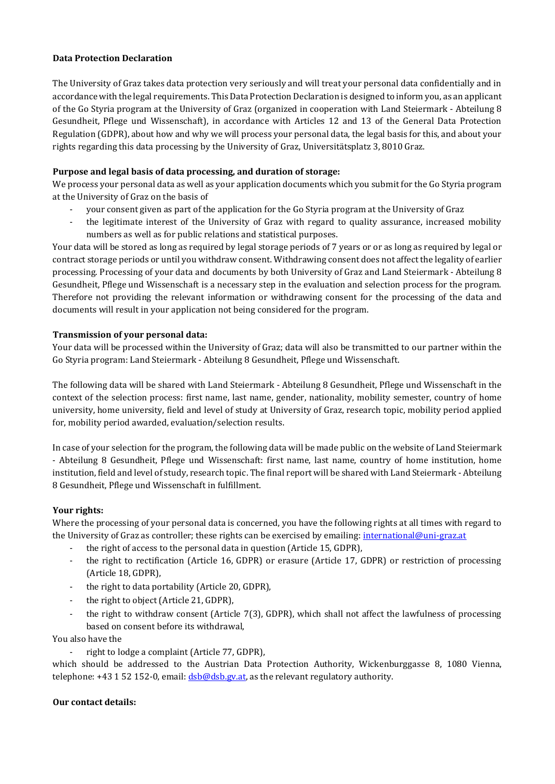### **Data Protection Declaration**

The University of Graz takes data protection very seriously and will treat your personal data confidentially and in accordance with the legal requirements. This Data Protection Declaration is designed to inform you, as an applicant of the Go Styria program at the University of Graz (organized in cooperation with Land Steiermark - Abteilung 8 Gesundheit, Pflege und Wissenschaft), in accordance with Articles 12 and 13 of the General Data Protection Regulation (GDPR), about how and why we will process your personal data, the legal basis for this, and about your rights regarding this data processing by the University of Graz, Universitätsplatz 3, 8010 Graz.

# **Purpose and legal basis of data processing, and duration of storage:**

We process your personal data as well as your application documents which you submit for the Go Styria program at the University of Graz on the basis of

- your consent given as part of the application for the Go Styria program at the University of Graz
- the legitimate interest of the University of Graz with regard to quality assurance, increased mobility numbers as well as for public relations and statistical purposes.

Your data will be stored as long as required by legal storage periods of 7 years or or as long as required by legal or contract storage periods or until you withdraw consent. Withdrawing consent does not affect the legality of earlier processing. Processing of your data and documents by both University of Graz and Land Steiermark - Abteilung 8 Gesundheit, Pflege und Wissenschaft is a necessary step in the evaluation and selection process for the program. Therefore not providing the relevant information or withdrawing consent for the processing of the data and documents will result in your application not being considered for the program.

## **Transmission of your personal data:**

Your data will be processed within the University of Graz; data will also be transmitted to our partner within the Go Styria program: Land Steiermark - Abteilung 8 Gesundheit, Pflege und Wissenschaft.

The following data will be shared with Land Steiermark - Abteilung 8 Gesundheit, Pflege und Wissenschaft in the context of the selection process: first name, last name, gender, nationality, mobility semester, country of home university, home university, field and level of study at University of Graz, research topic, mobility period applied for, mobility period awarded, evaluation/selection results.

In case of your selection for the program, the following data will be made public on the website of Land Steiermark - Abteilung 8 Gesundheit, Pflege und Wissenschaft: first name, last name, country of home institution, home institution, field and level of study, research topic. The final report will be shared with Land Steiermark - Abteilung 8 Gesundheit, Pflege und Wissenschaft in fulfillment.

## **Your rights:**

Where the processing of your personal data is concerned, you have the following rights at all times with regard to the University of Graz as controller; these rights can be exercised by emailing: [international@uni-graz.at](mailto:international@uni-graz.at)

- the right of access to the personal data in question (Article 15, GDPR),
- the right to rectification (Article 16, GDPR) or erasure (Article 17, GDPR) or restriction of processing (Article 18, GDPR),
- the right to data portability (Article 20, GDPR),
- the right to object (Article 21, GDPR),
- the right to withdraw consent (Article 7(3), GDPR), which shall not affect the lawfulness of processing based on consent before its withdrawal,

You also have the

right to lodge a complaint (Article 77, GDPR),

which should be addressed to the Austrian Data Protection Authority, Wickenburggasse 8, 1080 Vienna, telephone:  $+43$  1 52 152-0, email:  $dsb@dsb.gv.at$ , as the relevant regulatory authority.

## **Our contact details:**